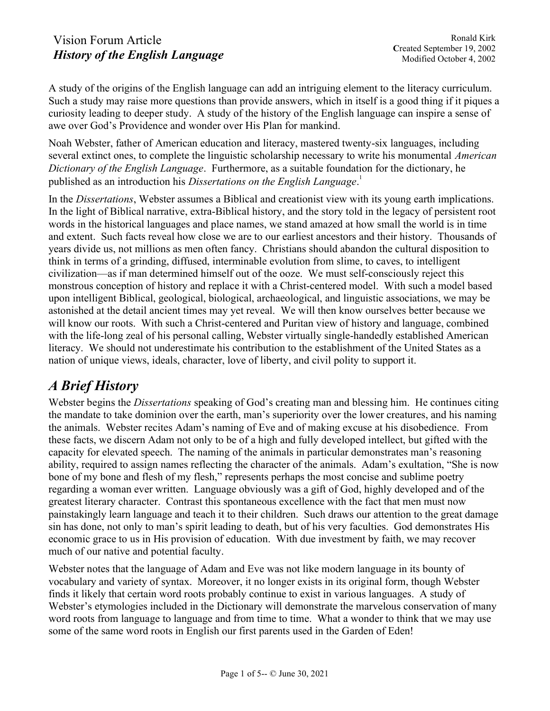A study of the origins of the English language can add an intriguing element to the literacy curriculum. Such a study may raise more questions than provide answers, which in itself is a good thing if it piques a curiosity leading to deeper study. A study of the history of the English language can inspire a sense of awe over God's Providence and wonder over His Plan for mankind.

Noah Webster, father of American education and literacy, mastered twenty-six languages, including several extinct ones, to complete the linguistic scholarship necessary to write his monumental *American* Dictionary of the English Language. Furthermore, as a suitable foundation for the dictionary, he published as an introduction his Dissertations on the English Language.<sup>1</sup>

In the Dissertations, Webster assumes a Biblical and creationist view with its young earth implications. In the light of Biblical narrative, extra-Biblical history, and the story told in the legacy of persistent root words in the historical languages and place names, we stand amazed at how small the world is in time and extent. Such facts reveal how close we are to our earliest ancestors and their history. Thousands of years divide us, not millions as men often fancy. Christians should abandon the cultural disposition to think in terms of a grinding, diffused, interminable evolution from slime, to caves, to intelligent civilization—as if man determined himself out of the ooze. We must self-consciously reject this monstrous conception of history and replace it with a Christ-centered model. With such a model based upon intelligent Biblical, geological, biological, archaeological, and linguistic associations, we may be astonished at the detail ancient times may yet reveal. We will then know ourselves better because we will know our roots. With such a Christ-centered and Puritan view of history and language, combined with the life-long zeal of his personal calling, Webster virtually single-handedly established American literacy. We should not underestimate his contribution to the establishment of the United States as a nation of unique views, ideals, character, love of liberty, and civil polity to support it.

# A Brief History

Webster begins the *Dissertations* speaking of God's creating man and blessing him. He continues citing the mandate to take dominion over the earth, man's superiority over the lower creatures, and his naming the animals. Webster recites Adam's naming of Eve and of making excuse at his disobedience. From these facts, we discern Adam not only to be of a high and fully developed intellect, but gifted with the capacity for elevated speech. The naming of the animals in particular demonstrates man's reasoning ability, required to assign names reflecting the character of the animals. Adam's exultation, "She is now bone of my bone and flesh of my flesh," represents perhaps the most concise and sublime poetry regarding a woman ever written. Language obviously was a gift of God, highly developed and of the greatest literary character. Contrast this spontaneous excellence with the fact that men must now painstakingly learn language and teach it to their children. Such draws our attention to the great damage sin has done, not only to man's spirit leading to death, but of his very faculties. God demonstrates His economic grace to us in His provision of education. With due investment by faith, we may recover much of our native and potential faculty.

Webster notes that the language of Adam and Eve was not like modern language in its bounty of vocabulary and variety of syntax. Moreover, it no longer exists in its original form, though Webster finds it likely that certain word roots probably continue to exist in various languages. A study of Webster's etymologies included in the Dictionary will demonstrate the marvelous conservation of many word roots from language to language and from time to time. What a wonder to think that we may use some of the same word roots in English our first parents used in the Garden of Eden!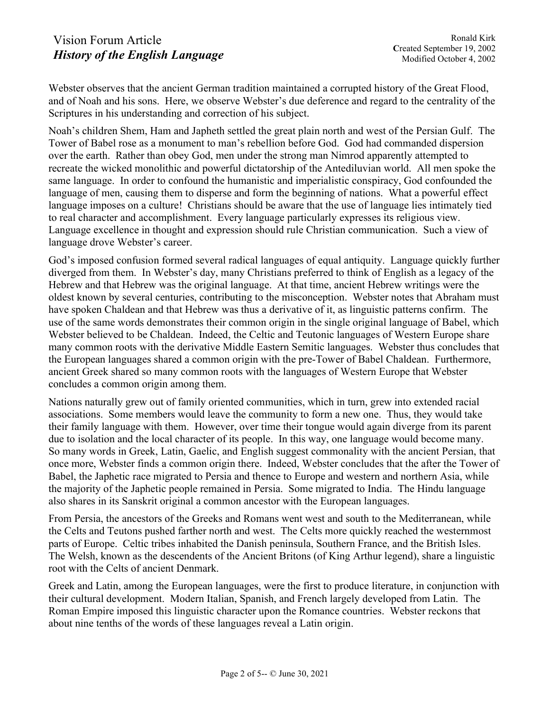Webster observes that the ancient German tradition maintained a corrupted history of the Great Flood, and of Noah and his sons. Here, we observe Webster's due deference and regard to the centrality of the Scriptures in his understanding and correction of his subject.

Noah's children Shem, Ham and Japheth settled the great plain north and west of the Persian Gulf. The Tower of Babel rose as a monument to man's rebellion before God. God had commanded dispersion over the earth. Rather than obey God, men under the strong man Nimrod apparently attempted to recreate the wicked monolithic and powerful dictatorship of the Antediluvian world. All men spoke the same language. In order to confound the humanistic and imperialistic conspiracy, God confounded the language of men, causing them to disperse and form the beginning of nations. What a powerful effect language imposes on a culture! Christians should be aware that the use of language lies intimately tied to real character and accomplishment. Every language particularly expresses its religious view. Language excellence in thought and expression should rule Christian communication. Such a view of language drove Webster's career.

God's imposed confusion formed several radical languages of equal antiquity. Language quickly further diverged from them. In Webster's day, many Christians preferred to think of English as a legacy of the Hebrew and that Hebrew was the original language. At that time, ancient Hebrew writings were the oldest known by several centuries, contributing to the misconception. Webster notes that Abraham must have spoken Chaldean and that Hebrew was thus a derivative of it, as linguistic patterns confirm. The use of the same words demonstrates their common origin in the single original language of Babel, which Webster believed to be Chaldean. Indeed, the Celtic and Teutonic languages of Western Europe share many common roots with the derivative Middle Eastern Semitic languages. Webster thus concludes that the European languages shared a common origin with the pre-Tower of Babel Chaldean. Furthermore, ancient Greek shared so many common roots with the languages of Western Europe that Webster concludes a common origin among them.

Nations naturally grew out of family oriented communities, which in turn, grew into extended racial associations. Some members would leave the community to form a new one. Thus, they would take their family language with them. However, over time their tongue would again diverge from its parent due to isolation and the local character of its people. In this way, one language would become many. So many words in Greek, Latin, Gaelic, and English suggest commonality with the ancient Persian, that once more, Webster finds a common origin there. Indeed, Webster concludes that the after the Tower of Babel, the Japhetic race migrated to Persia and thence to Europe and western and northern Asia, while the majority of the Japhetic people remained in Persia. Some migrated to India. The Hindu language also shares in its Sanskrit original a common ancestor with the European languages.

From Persia, the ancestors of the Greeks and Romans went west and south to the Mediterranean, while the Celts and Teutons pushed farther north and west. The Celts more quickly reached the westernmost parts of Europe. Celtic tribes inhabited the Danish peninsula, Southern France, and the British Isles. The Welsh, known as the descendents of the Ancient Britons (of King Arthur legend), share a linguistic root with the Celts of ancient Denmark.

Greek and Latin, among the European languages, were the first to produce literature, in conjunction with their cultural development. Modern Italian, Spanish, and French largely developed from Latin. The Roman Empire imposed this linguistic character upon the Romance countries. Webster reckons that about nine tenths of the words of these languages reveal a Latin origin.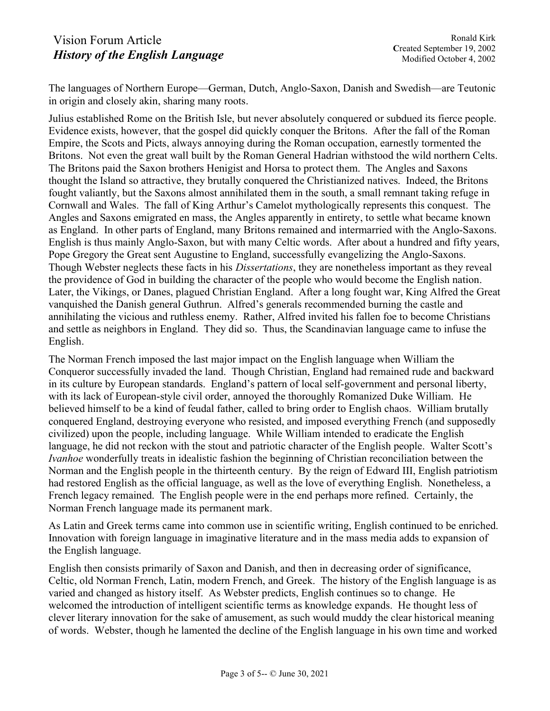The languages of Northern Europe—German, Dutch, Anglo-Saxon, Danish and Swedish—are Teutonic in origin and closely akin, sharing many roots.

Julius established Rome on the British Isle, but never absolutely conquered or subdued its fierce people. Evidence exists, however, that the gospel did quickly conquer the Britons. After the fall of the Roman Empire, the Scots and Picts, always annoying during the Roman occupation, earnestly tormented the Britons. Not even the great wall built by the Roman General Hadrian withstood the wild northern Celts. The Britons paid the Saxon brothers Henigist and Horsa to protect them. The Angles and Saxons thought the Island so attractive, they brutally conquered the Christianized natives. Indeed, the Britons fought valiantly, but the Saxons almost annihilated them in the south, a small remnant taking refuge in Cornwall and Wales. The fall of King Arthur's Camelot mythologically represents this conquest. The Angles and Saxons emigrated en mass, the Angles apparently in entirety, to settle what became known as England. In other parts of England, many Britons remained and intermarried with the Anglo-Saxons. English is thus mainly Anglo-Saxon, but with many Celtic words. After about a hundred and fifty years, Pope Gregory the Great sent Augustine to England, successfully evangelizing the Anglo-Saxons. Though Webster neglects these facts in his Dissertations, they are nonetheless important as they reveal the providence of God in building the character of the people who would become the English nation. Later, the Vikings, or Danes, plagued Christian England. After a long fought war, King Alfred the Great vanquished the Danish general Guthrun. Alfred's generals recommended burning the castle and annihilating the vicious and ruthless enemy. Rather, Alfred invited his fallen foe to become Christians and settle as neighbors in England. They did so. Thus, the Scandinavian language came to infuse the English.

The Norman French imposed the last major impact on the English language when William the Conqueror successfully invaded the land. Though Christian, England had remained rude and backward in its culture by European standards. England's pattern of local self-government and personal liberty, with its lack of European-style civil order, annoyed the thoroughly Romanized Duke William. He believed himself to be a kind of feudal father, called to bring order to English chaos. William brutally conquered England, destroying everyone who resisted, and imposed everything French (and supposedly civilized) upon the people, including language. While William intended to eradicate the English language, he did not reckon with the stout and patriotic character of the English people. Walter Scott's Ivanhoe wonderfully treats in idealistic fashion the beginning of Christian reconciliation between the Norman and the English people in the thirteenth century. By the reign of Edward III, English patriotism had restored English as the official language, as well as the love of everything English. Nonetheless, a French legacy remained. The English people were in the end perhaps more refined. Certainly, the Norman French language made its permanent mark.

As Latin and Greek terms came into common use in scientific writing, English continued to be enriched. Innovation with foreign language in imaginative literature and in the mass media adds to expansion of the English language.

English then consists primarily of Saxon and Danish, and then in decreasing order of significance, Celtic, old Norman French, Latin, modern French, and Greek. The history of the English language is as varied and changed as history itself. As Webster predicts, English continues so to change. He welcomed the introduction of intelligent scientific terms as knowledge expands. He thought less of clever literary innovation for the sake of amusement, as such would muddy the clear historical meaning of words. Webster, though he lamented the decline of the English language in his own time and worked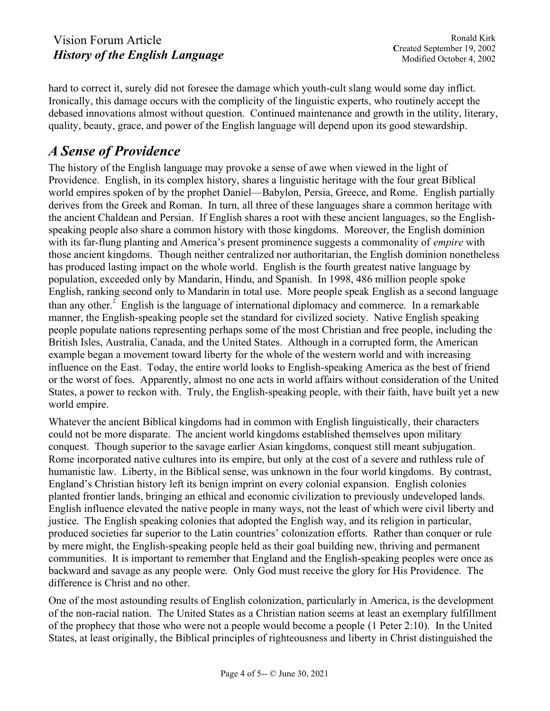hard to correct it, surely did not foresee the damage which youth-cult slang would some day inflict. Ironically, this damage occurs with the complicity of the linguistic experts, who routinely accept the debased innovations almost without question. Continued maintenance and growth in the utility, literary, quality, beauty, grace, and power of the English language will depend upon its good stewardship.

# A Sense of Providence

The history of the English language may provoke a sense of awe when viewed in the light of Providence. English, in its complex history, shares a linguistic heritage with the four great Biblical world empires spoken of by the prophet Daniel—Babylon, Persia, Greece, and Rome. English partially derives from the Greek and Roman. In turn, all three of these languages share a common heritage with the ancient Chaldean and Persian. If English shares a root with these ancient languages, so the Englishspeaking people also share a common history with those kingdoms. Moreover, the English dominion with its far-flung planting and America's present prominence suggests a commonality of *empire* with those ancient kingdoms. Though neither centralized nor authoritarian, the English dominion nonetheless has produced lasting impact on the whole world. English is the fourth greatest native language by population, exceeded only by Mandarin, Hindu, and Spanish. In 1998, 486 million people spoke English, ranking second only to Mandarin in total use. More people speak English as a second language than any other.<sup>2</sup> English is the language of international diplomacy and commerce. In a remarkable manner, the English-speaking people set the standard for civilized society. Native English speaking people populate nations representing perhaps some of the most Christian and free people, including the British Isles, Australia, Canada, and the United States. Although in a corrupted form, the American example began a movement toward liberty for the whole of the western world and with increasing influence on the East. Today, the entire world looks to English-speaking America as the best of friend or the worst of foes. Apparently, almost no one acts in world affairs without consideration of the United States, a power to reckon with. Truly, the English-speaking people, with their faith, have built yet a new world empire.

Whatever the ancient Biblical kingdoms had in common with English linguistically, their characters could not be more disparate. The ancient world kingdoms established themselves upon military conquest. Though superior to the savage earlier Asian kingdoms, conquest still meant subjugation. Rome incorporated native cultures into its empire, but only at the cost of a severe and ruthless rule of humanistic law. Liberty, in the Biblical sense, was unknown in the four world kingdoms. By contrast, England's Christian history left its benign imprint on every colonial expansion. English colonies planted frontier lands, bringing an ethical and economic civilization to previously undeveloped lands. English influence elevated the native people in many ways, not the least of which were civil liberty and justice. The English speaking colonies that adopted the English way, and its religion in particular, produced societies far superior to the Latin countries' colonization efforts. Rather than conquer or rule by mere might, the English-speaking people held as their goal building new, thriving and permanent communities. It is important to remember that England and the English-speaking peoples were once as backward and savage as any people were. Only God must receive the glory for His Providence. The difference is Christ and no other.

One of the most astounding results of English colonization, particularly in America, is the development of the non-racial nation. The United States as a Christian nation seems at least an exemplary fulfillment of the prophecy that those who were not a people would become a people (1 Peter 2:10). In the United States, at least originally, the Biblical principles of righteousness and liberty in Christ distinguished the